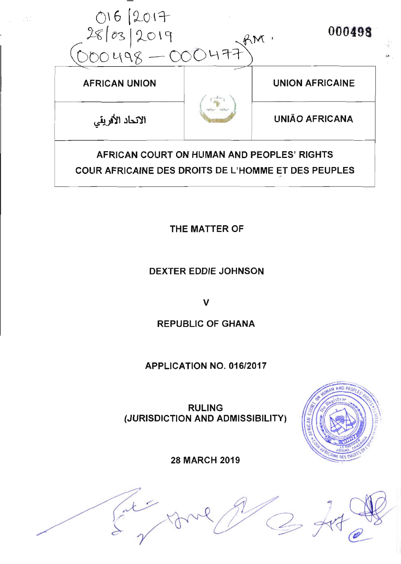

THE MATTER OF

DEXTER EDDIE JOHNSON

v

# REPUBLIG OF GHANA

# APPLICATION NO. 016/2017

RULING (JURISDICTION AND ADMISSIBILITY)



28 MARCH 2019

Cater de la Cater de la Cater de la Cater de la Cater de la Cater de la Cater de la Cater de la Cater de la Ca<br>La Cater de la Cater de la Cater de la Cater de la Cater de la Cater de la Cater de la Cater de la Cater de la r<br>C 4 e<sup>1</sup>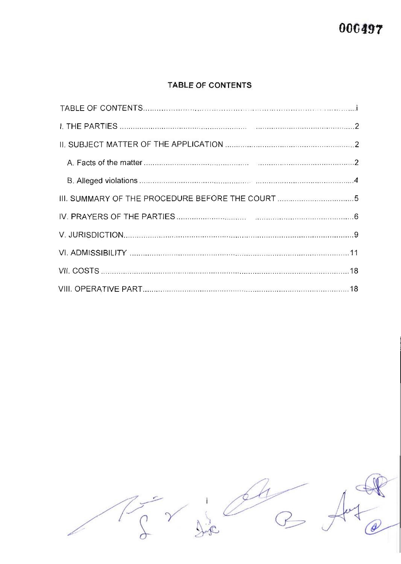# TABLE OF CONTENTS

| III. SUMMARY OF THE PROCEDURE BEFORE THE COURT 5 |  |
|--------------------------------------------------|--|
|                                                  |  |
|                                                  |  |
|                                                  |  |
|                                                  |  |
|                                                  |  |

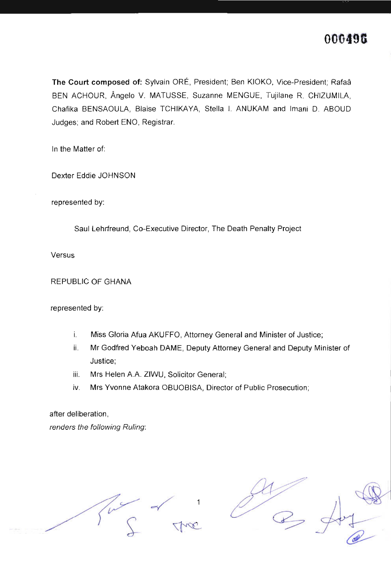The Court composed of: Sylvain ORÉ, President; Ben KIOKO, Vice-President; Rafaâ BEN ACHOUR, Angelo V. MATUSSE, Suzanne MENGUE, Tujilane R. CHIZUMILA, Chafika BENSAOULA, Blaise TCHIKAYA, Stella l. ANUKAM and lmani D. ABOUD Judges; and Robert ENO, Registrar.

ln the Matter of

Dexter Eddie JOHNSON

represented by

Saul Lehrfreund, Co-Executive Director, The Death Penalty Project

Versus

REPUBLIC OF GHANA

represented by

- i. Miss Gloria Afua AKUFFO, Attorney General and Minister of Justice;
- ii. Mr Godfred Yeboah DAME, Deputy Attorney General and Deputy Minister of Justice;
- iii. Mrs Helen A.A. ZIWU, Solicitor General;
- iv. Mrs Yvonne Atakora OBUOBISA, Director of Public Prosecution;

after deliberation, renders the following Ruling:

1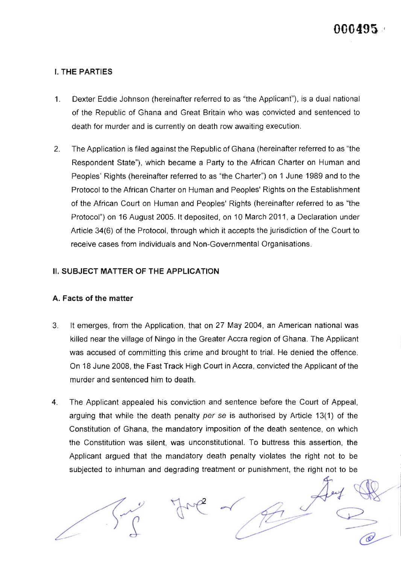## I. THE PARTIES

- 1 Dexter Eddie Johnson (hereinafter referred to as "the Applicant"), is a dual national of the Republic of Ghana and Great Britain who was convicted and sentenced to death for murder and is currently on death row awaiting execution.
- $\mathfrak{D}$ The Application is filed against the Republic of Ghana (hereinafter referred to as "the Respondent State"), which became a Party to the African Charter on Human and Peoples' Rights (hereinafter referred to as "the Charter") on 1 June 1989 and to the Protocol to the African Charter on Human and Peoples' Rights on the Establishment of the African Court on Human and Peoples' Rights (hereinafter referred to as "the Protocol") on 16 August 2005. lt deposited, on 10 March 2011, a Declaration under Article 34(6) of the Protocol, through which it accepts the jurisdiction of the Court to receive cases from individuals and Non-Governmental Organisations.

#### II. SUBJECT MATTER OF THE APPLICATION

#### A. Facts of the matter

- It emerges, from the Application, that on 27 May 2OO4, an American nationalwas killed near the village of Ningo in the Greater Accra region of Ghana. The Applicant was accused of committing this crime and brought to trial. He denied the offence. On 18 June 2008, the Fast Track High Court in Accra, convicted the Applicant of the murder and sentenced him to death. 3
- The Applicant appealed his conviction and sentence before the Court of Appeal, arguing that while the death penalty per se is authorised by Article 13(1) of the Constitution of Ghana, the mandatory imposition of the death sentence, on which the Constitution was silent, was unconstitutional. To buttress this assertion, the Applicant argued that the mandatory death penalty violates the right not to be subjected to inhuman and degrading treatment or punishment, the right not to be 4

( $\circledcirc$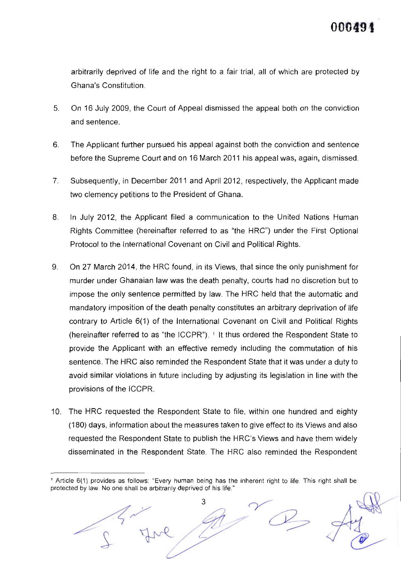00049.

arbitrarily deprived of life and the right to a fair trial, all of which are protected by Ghana's Constitution.

- 5 On 16 July 2009, the Court of Appeal dismissed the appeal both on the conviction and sentence.
- 6 The Applicant further pursued his appeal against both the conviction and sentence before the Supreme Court and on 16 March 2011 his appeal was, again, dismissed.
- 7 Subsequently, in December 2011 and April 2012, respectively, the Applicant made two clemency petitions to the President of Ghana.
- 8 In July 2012, the Applicant filed a communication to the United Nations Human Rights Committee (hereinafter referred to as "the HRC") under the First Optional Protocol to the lnternational Covenant on Civil and Political Rights.
- $9<sub>1</sub>$ On 27 March 2014, the HRC found, in its Views, that since the only punishment for murder under Ghanaian law was the death penalty, courts had no discretion but to impose the only sentence permitted by law. The HRC held that the automatic and mandatory imposition of the death penalty constitutes an arbitrary deprivation of life contrary to Article 6(1) of the lnternational Covenant on Civil and Political Rights (hereinafter referred to as 'the ICCPR'). 1 lt thus ordered the Respondent State to provide the Applicant with an effective remedy including the commutation of his sentence. The HRC also reminded the Respondent State that it was under a duty to avoid similar violations in future including by adjusting its legislation in line with the provisions of the ICCPR.
- 10. The HRC requested the Respondent State to file, within one hundred and eighty (180) days, information about the measures taken to give effect to its Views and also requested the Respondent State to publish the HRC's Views and have them widely disseminated in the Respondent State. The HRC also reminded the Respondent

<sup>1</sup> Article 6(1) provides as follows: "Every human being has the inherent right to life. This right shall be protected by law. No one shall be arbitrarily deprived of his life.'

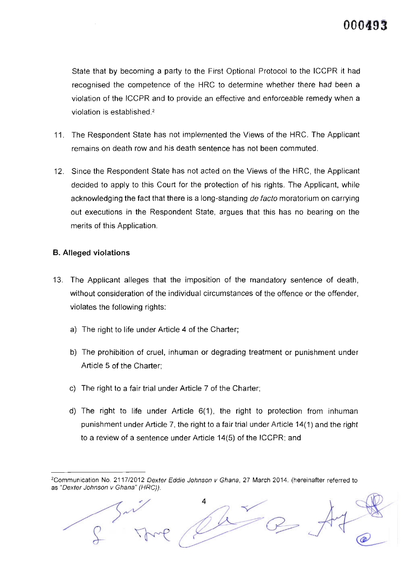State that by becoming a party to the First Optional Protocol to the ICCPR it had recognised the competence of the HRC to determine whether there had been a violation of the ICCPR and to provide an effective and enforceable remedy when a violation is established<sup>2</sup>

- 11. The Respondent State has not implemented the Views of the HRC. The Applicant remains on death row and his death sentence has not been commuted.
- 12. Since the Respondent State has not acted on the Views of the HRC, the Applicant decided to apply to this Court for the protection of his rights. The Applicant, while acknowledging the fact that there is a long-standing de facto moratorium on carrying out executions in the Respondent State, argues that this has no bearing on the merits of this Application.

#### B. Alleged violations

- 13. The Applicant alleges that the imposition of the mandatory sentence of death, without consideration of the individual circumstances of the offence or the offender, violates the following rights:
	- a) The right to life under Article 4 of the Charter;
	- b) The prohibition of cruel, inhuman or degrading treatment or punishment under Article 5 of the Charter;
	- c) The right to a fair trial under Article 7 of the Charter;
	- d) The right to life under Article 6(1), the right to protection from inhuman punishment under Article 7, the right to a fair trial under Article 14(1) and the right to a review of a sentence under Article 14(5) of the ICCPR; and

<sup>&</sup>lt;sup>2</sup>Communication No. 2117/2012 Dexter Eddie Johnson v Ghana, 27 March 2014. (hereinafter referred to as "Dexter Johnson v Ghana" (HRC)).

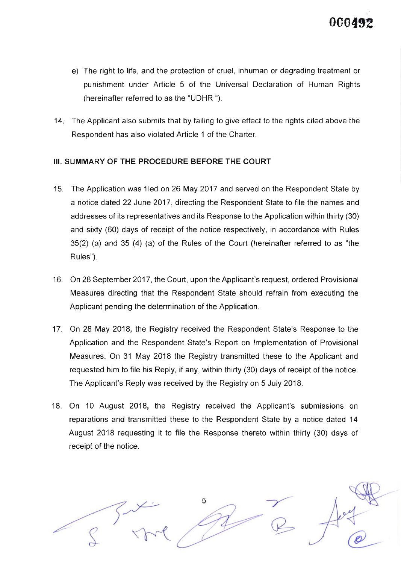

- e) The right to life, and the protection of cruel, inhuman or degrading treatment or punishment under Article 5 of the Universal Declaration of Human Rights (hereinafter referred to as the "UDHR ").
- 14. The Applicant also submits that by failing to give effect to the rights cited above the Respondent has also violated Article 1 of the Charter.

## III. SUMMARY OF THE PROCEDURE BEFORE THE COURT

- 15. The Application was filed on 26 May 2017 and served on the Respondent State by a notice dated 22 June 2017, directing the Respondent State to file the names and addresses of its representatives and its Response to the Application within thirty (30) and sixty (60) days of receipt of the notice respectively, in accordance with Rules 35(2) (a) and 35 (4) (a) of the Rules of the Court (hereinafter referred to as "the Rules").
- 16. On 28 September 2017, the Court, upon the Applicant's request, ordered Provisional Measures directing that the Respondent State should refrain from executing the Applicant pending the determination of the Application.
- 17. On 28 May 2018, the Registry received the Respondent State's Response to the Application and the Respondent State's Report on lmplementation of Provisional Measures. On 31 May 2018 the Registry transmitted these to the Applicant and requested him to file his Reply, if any, within thirty (30) days of receipt of the notice. The Applicant's Reply was received by the Registry on 5 July 2018.
- 18. On 10 August 2018, the Registry received the Applicant's submissions on reparations and transmitted these to the Respondent State by a notice dated 14 August 2018 requesting it to file the Response thereto within thirty (30) days of receipt of the notice.

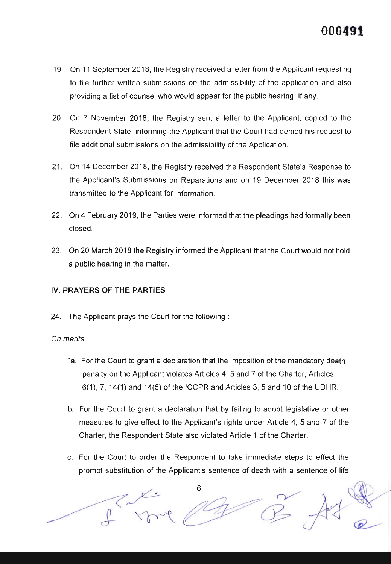- 19. On 11 September 2018, the Registry received a letter from the Applicant requesting to file further written submissions on the admissibility of the application and also providing a list of counsel who would appear for the public hearing, if any.
- 20. On 7 November 2018, the Registry sent a letter to the Applicant, copied to the Respondent State, informing the Applicant that the Court had denied his request to file additional submissions on the admissibility of the Application.
- 21. On 14 December 2018, the Registry received the Respondent State's Response to the Applicant's Submissions on Reparations and on 19 December 2018 this was transmitted to the Applicant for information.
- 22. On 4 February 2019, the Parties were informed that the pleadings had formally been closed.
- 23. On 20 March 2018 the Registry informed the Applicant that the Court would not hold a public hearing in the matter.

## IV. PRAYERS OF THE PARTIES

24. The Applicant prays the Court for the following

### On merits

- "a. For the Court to grant a declaration that the imposition of the mandatory death penalty on the Applicant violates Articles 4, 5 and 7 of the Charter, Articles 6(1), 7, 14(1) and 14(5) of the ICCPR and Articles 3, 5 and 10 of the UDHR.
- b. For the Court to grant a declaration that by failing to adopt legislative or other measures to give effect to the Applicant's rights under Article 4, 5 and 7 of the Charter, the Respondent State also violated Article 1 of the Charter.
- c. For the Court to order the Respondent to take immediate steps to effect the prompt substitution of the Applicant's sentence of death with a sentence of life

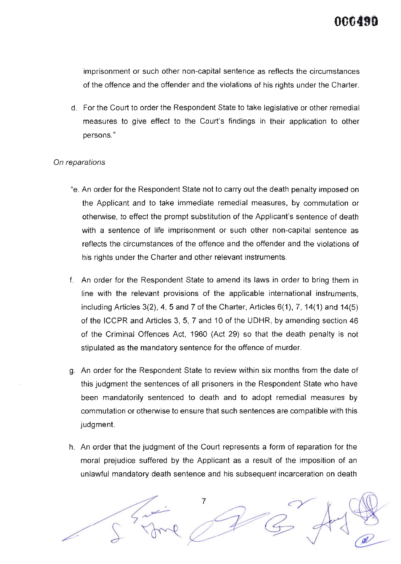imprisonment or such other non-capital sentence as reflects the circumstances of the offence and the offender and the violations of his rights under the Charter.

d. For the Court to order the Respondent State to take legislative or other remedial measures to give effect to the Court's findings in their application to other persons."

#### On reparations

- "e. An order for the Respondent State not to carry out the death penalty imposed on the Applicant and to take immediate remedial measures, by commutation or otherwise, to effect the prompt substitution of the Applicant's sentence of death with a sentence of life imprisonment or such other non-capital sentence as reflects the circumstances of the offence and the offender and the violations of his rights under the Charter and other relevant instruments.
- f. An order for the Respondent State to amend its laws in order to bring them in line with the relevant provisions of the applicable international instruments, including Articles  $3(2)$ , 4, 5 and 7 of the Charter, Articles  $6(1)$ , 7, 14(1) and 14(5) of the ICCPR and Articles 3, 5, 7 and 10 of the UDHR, by amending section 46 of the Criminal Offences Act, 1960 (Act 29) so that the death penalty is not stipulated as the mandatory sentence for the offence of murder.
- g. An order for the Respondent State to review within six months from the date of this judgment the sentences of all prisoners in the Respondent State who have been mandatorily sentenced to death and to adopt remedial measures by commutation or otherwise to ensure that such sentences are compatible with this judgment.
- h. An order that the judgment of the Court represents a form of reparation for the moral prejudice suffered by the Applicant as a result of the imposition of an unlaMul mandatory death sentence and his subsequent incarceration on death

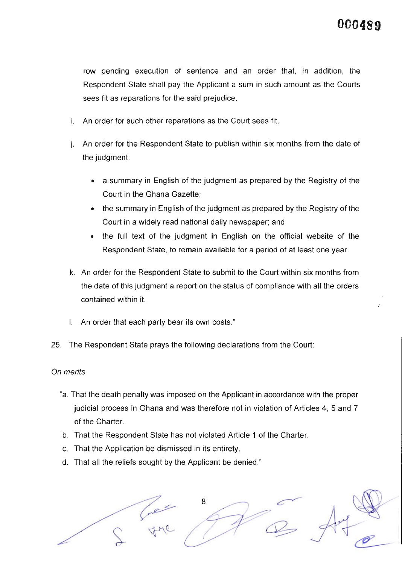row pending execution of sentence and an order that, in addition, the Respondent State shall pay the Applicant a sum in such amount as the Courts sees fit as reparations for the said prejudice.

- An order for such other reparations as the Court sees fit
- j. An order for the Respondent State to publish within six months from the date of the judgment:
	- a summary in English of the judgment as prepared by the Registry of the Court in the Ghana Gazette;
	- the summary in English of the judgment as prepared by the Registry of the Court in a widely read national daily newspaper; and
	- the full text of the judgment in English on the official website of the Respondent State, to remain available for a period of at least one year. a
- k. An order for the Respondent State to submit to the Court within six months from the date of this judgment a report on the status of compliance with all the orders contained within it.
- l. An order that each party bear its own costs.
- 25. The Respondent State prays the following declarations from the Court

#### On merits

- "a. That the death penaltywas imposed on the Applicant in accordance with the proper judicial process in Ghana and was therefore not in violation of Articles 4, 5 and 7 of the Charter.
- b. That the Respondent State has not violated Article 1 of the Charter.
- c. That the Application be dismissed in its entirety.
- d. That all the reliefs sought by the Applicant be denied."

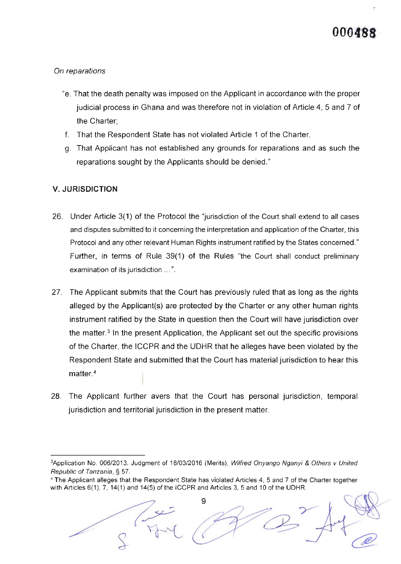## On reparations

- "e. That the death penalty was imposed on the Applicant in accordance with the proper judicial process in Ghana and was therefore not in violation of Article 4, 5 and 7 of the Charter;
- f. That the Respondent State has not violated Article 1 of the Charter.
- g. That Applicant has not established any grounds for reparations and as such the reparations sought by the Applicants should be denied."

### V. JURISDICTION

- 26. Under Article 3(1) of the Protocol the "jurisdiction of the Court shall extend to all cases and disputes submitted to it concerning the interpretation and application of the Charter, this Protocol and any other relevant Human Rights instrument ratified by the States concerned." Further, in terms of Rule 39(1) of the Rules "the Court shall conduct preliminary examination of its jurisdiction ...".
- 27. The Applicant submits that the Court has previously ruled that as long as the rights alleged by the Applicant(s) are protected by the Charter or any other human rights instrument ratified by the State in question then the Court will have jurisdiction over the matter.3 ln the present Application, the Applicant set out the specific provisions of the Charter, the ICCPR and the UDHR that he alleges have been violated by the Respondent State and submitted that the Court has material jurisdiction to hear this matter.4
- 28. The Applicant further avers that the Court has personal jurisdiction, temporal jurisdiction and territorial jurisdiction in the present matter.

<sup>4</sup> The Applicant alleges that the Respondent State has violated Articles 4, 5 and 7 of the Charter together with Articles 6(1), 7, 14(1) and 14(5) of the ICCPR and Articles 3, 5 and 10 of the UDHR.



<sup>3</sup>Application No. 006/2013. Judgment of 18/03/2016 (Merits), Wilfred Onyango Nganyi & Others v United Republic of Tanzania, § 57.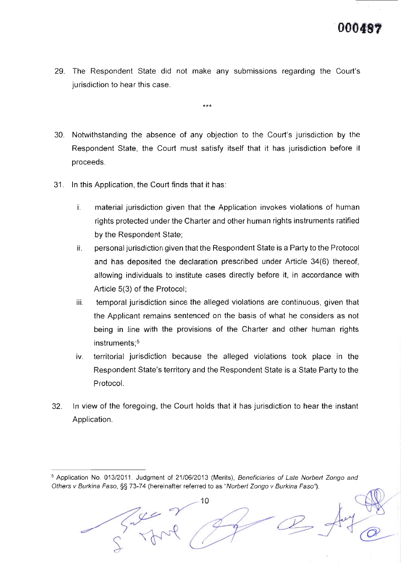29. The Respondent State did not make any submissions regarding the Court's jurisdiction to hear this case.

\*\*\*

- 30. Notwithstanding the absence of any objection to the Court's jurisdiction by the Respondent State, the Court must satisfy itself that it has jurisdiction before it proceeds.
- 31. ln this Application, the Court finds that it has
	- Ì. material jurisdiction given that the Application invokes violations of human rights protected under the Charter and other human rights instruments ratified by the Respondent State;
	- il personaljurisdiction given that the Respondent State is a Party to the Protocol and has deposited the declaration prescribed under Article 34(6) thereof, allowing individuals to institute cases directly before it, in accordance with Article 5(3) of the Protocol;
	- iii. temporal jurisdiction since the alleged violations are continuous, given that the Applicant remains sentenced on the basis of what he considers as not being in line with the provisions of the Charter and other human rights instruments;<sup>5</sup>
	- IV territorial jurisdiction because the alleged violations took place in the Respondent State's territory and the Respondent State is a State Party to the Protocol.
- 32 ln view of the foregoing, the Court holds that it has jurisdiction to hear the instant Application.

<sup>&</sup>lt;sup>5</sup> Application No. 013/2011. Judgment of 21/06/2013 (Merits), Beneficiaries of Late Norbert Zongo and Others v Burkina Faso, §§ 73-74 (hereinafter referred to as "Norbert Zongo v Burkina Faso").

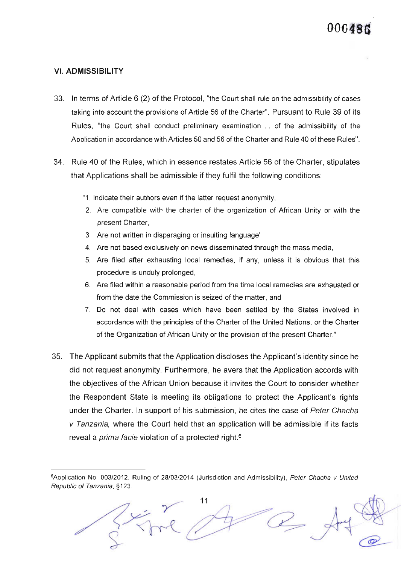#### VI. ADMISSIBILITY

- 33. ln terms of Article 6 (2) of the Protocol, "the Court shall rule on the admissibility of cases taking into account the provisions of Article 56 of the Charter". Pursuant to Rule 39 of its Rules, "the Court shall conduct preliminary examination ... of the admissibility of the Application in accordance with Articles 50 and 56 of the Charter and Rule 40 of these Rules".
- 34. Rule 40 of the Rules, which in essence restates Article 56 of the Charter, stipulates that Applications shall be admissible if they fulfil the following conditions:
	- "1 . lndicate their authors even if the latter request anonymity,
	- 2. Are compatible with the charter of the organization of African Unity or with the present Charter,
	- 3. Are not written in disparaging or insulting language'
	- 4. Are not based exclusively on news disseminated through the mass media,
	- 5. Are filed after exhausting local remedies, if any, unless it is obvious that this procedure is unduly prolonged,
	- 6. Are filed within a reasonable period from the time local remedies are exhausted or from the date the Commission is seized of the matter, and
	- 7. Do not deal with cases which have been settled by the States involved in accordance with the principles of the Charter of the United Nations, or the Charter of the Organization of African Unity or the provision of the present Charter."
- 35. The Applicant submits that the Application discloses the Applicant's identity since he did not request anonymity. Furthermore, he avers that the Application accords with the objectives of the African Union because it invites the Courl to consider whether the Respondent State is meeting its obligations to protect the Applicant's rights under the Charter. ln support of his submission, he cites the case of Peter Chacha v Tanzania, where the Court held that an application will be admissible if its facts reveal a *prima facie* violation of a protected right.<sup>6</sup>

<sup>6</sup>Application No. 003/2012. Ruling of 28/03/2014 (Jurisdiction and Admissibility), Peter Chacha v United Republic of Tanzania, \$123.

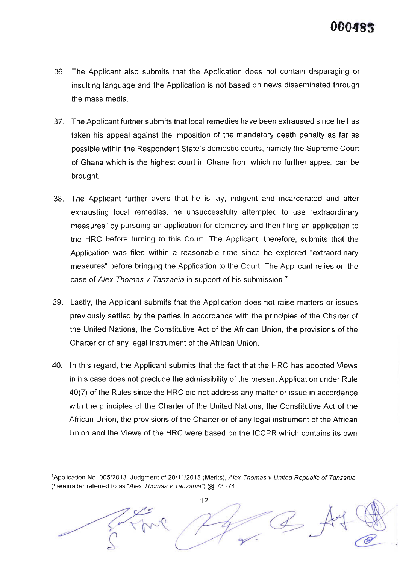

- 36. The Applicant also submits that the Application does not contain disparaging or insulting language and the Application is not based on news disseminated through the mass media.
- 37. The Applicant further submits that local remedies have been exhausted since he has taken his appeal against the imposition of the mandatory death penalty as far as possible within the Respondent State's domestic courts, namely the Supreme Court of Ghana which is the highest court in Ghana from which no further appeal can be brought.
- 38. The Applicant further avers that he is lay, indigent and incarcerated and after exhausting local remedies, he unsuccessfully attempted to use "extraordinary measures' by pursuing an application for clemency and then filing an application to the HRC before turning to this Court. The Applicant, therefore, submits that the Application was filed within a reasonable time since he explored "extraordinary measures" before bringing the Application to the Court. The Applicant relies on the case of Alex Thomas v Tanzania in support of his submission.<sup>7</sup>
- 39. Lastly, the Applicant submits that the Application does not raise matters or issues previously settled by the parties in accordance with the principles of the Charter of the United Nations, the Constitutive Act of the African Union, the provisions of the Charter or of any legal instrument of the African Union.
- 40. ln this regard, the Applicant submits that the fact that the HRC has adopted Views in his case does not preclude the admissibility of the present Application under Rule 40(7) of the Rules since the HRC did not address any matter or issue in accordance with the principles of the Charter of the United Nations, the Constitutive Act of the African Union, the provisions of the Charter or of any legal instrument of the African Union and the Views of the HRC were based on the ICCPR which contains its own

<sup>&</sup>lt;sup>7</sup>Application No. 005/2013. Judgment of 20/11/2015 (Merits), Alex Thomas v United Republic of Tanzania, (hereinafter referred to as "Alex Thomas v Tanzania") §§ 73 -74.

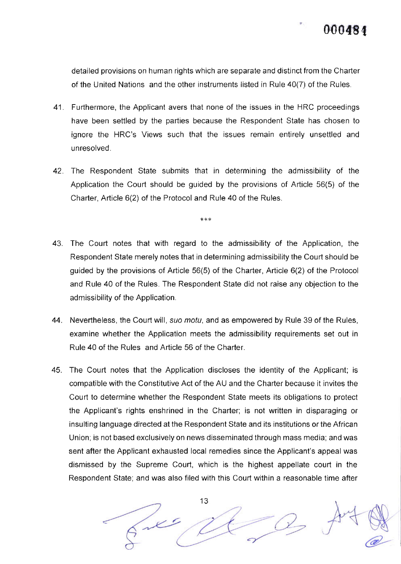

 $\mathbb{Q}$ 

@-

detailed provisions on human rights which are separate and distinct from the Charter of the United Nations and the other instruments listed in Rule 40(7) of the Rules.

- 41 . Furthermore, the Applicant avers that none of the issues in the HRC proceedings have been settled by the parties because the Respondent State has chosen to ignore the HRC's Views such that the issues remain entirely unsettled and unresolved.
- 42. The Respondent State submits that in determining the admissibility of the Application the Court should be guided by the provisions of Article 56(5) of the Charter, Article 6(2) of the Protocol and Rule 40 of the Rules.

\*\*\*

- 43. The Court notes that with regard to the admissibility of the Application, the Respondent State merely notes that in determining admissibility the Court should be guided by the provisions of Article 56(5) of the Charter, Article 6(2) of the Protocol and Rule 40 of the Rules. The Respondent State did not raise any objection to the admissibility of the Application.
- 44. Nevertheless, the Court will, suo motu, and as empowered by Rule 39 of the Rules, examine whether the Application meets the admissibility requirements set out in Rule 40 of the Rules and Article 56 of the Charter.
- 45. The Court notes that the Application discloses the identity of the Applicant; is compatible with the Constitutive Act of the AU and the Charter because it invites the Court to determine whether the Respondent State meets its obligations to protect the Applicant's rights enshrined in the Charter; is not written in disparaging or insulting language directed at the Respondent State and its institutions or the African Union; is not based exclusively on news disseminated through mass media; and was sent after the Applicant exhausted local remedies since the Applicant's appeal was dismissed by the Supreme Court, which is the highest appellate court in the Respondent State; and was also filed with this Court within a reasonable time after

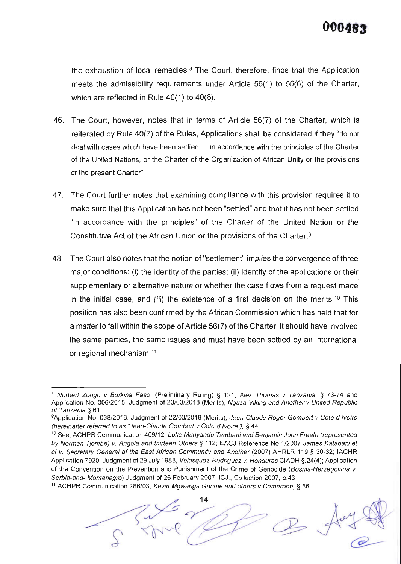

the exhaustion of local remedies. $8$  The Court, therefore, finds that the Application meets the admissibility requirements under Article 56(1) to 56(6) of the Charter, which are reflected in Rule 40(1) to 40(6).

- 46. The Court, however, notes that in terms of Article 56(7) of the Charter, which is reiterated by Rule 40(7) of the Rules, Applications shall be considered if they "do not deal with cases which have been settled ... in accordance with the principles of the Charter of the United Nations, or the Charter of the Organization of African Unity or the provisions of the present Charter".
- 47. The Court further notes that examining compliance with this provision requires it to make sure that this Application has not been "settled" and that it has not been settled "in accordance with the principles" of the Charter of the United Nation or the Constitutive Act of the African Union or the provisions of the Charter.<sup>9</sup>
- 48. The Court also notes that the notion of "settlement" implies the convergence of three major conditions: (i) the identity of the parties; (ii) identity of the applications or their supplementary or alternative nature or whether the case flows from a request made in the initial case; and (iii) the existence of a first decision on the merits.<sup>10</sup> This position has also been confirmed by the African Commission which has held that for a matter to fall within the scope of Article 56(7) of the Charter, it should have involved the same parties, the same issues and must have been settled by an international or regional mechanism.<sup>11</sup>

<sup>&</sup>lt;sup>11</sup> ACHPR Communication 266/03, Kevin Mgwanga Gunme and others v Cameroon, § 86.



<sup>&</sup>lt;sup>8</sup> Norbert Zongo v Burkina Faso, (Preliminary Ruling) § 121; Alex Thomas v Tanzania, § 73-74 and Application No. 006/2015. Judgment of 23/03/2018 (Merits), Nguza Viking and Another v United Republic of Tanzania § 61.

<sup>&</sup>lt;sup>9</sup>Application No. 038/2016. Judgment of 22/03/2018 (Merits), Jean-Claude Roger Gombert v Cote d Ivoire (hereinafter referred to as "Jean-Claude Gombert v Cote d Ivoire"), § 44.

<sup>&</sup>lt;sup>10</sup> See, ACHPR Communication 409/12, Luke Munyandu Tembani and Benjamin John Freeth (represented by Norman Tjombe) v. Angola and thirteen Others § 112; EACJ Reference No 1/2007 James Katabazi et al v. Secretary General of the East Afican Community and Another (2007) AHRLR 119 S 30-32; IACHR Application 7920, Judgment of 29 July 1988, Velasquez-Rodriguez v. Honduras CIADH § 24(4); Application of the Convention on the Prevention and Punishment of the Crime of Genocide (Bosnia-Herzegovina v. Serbia-and- Montenegro) Judgment of 26 February 2007, ICJ., Collection 2007, p.43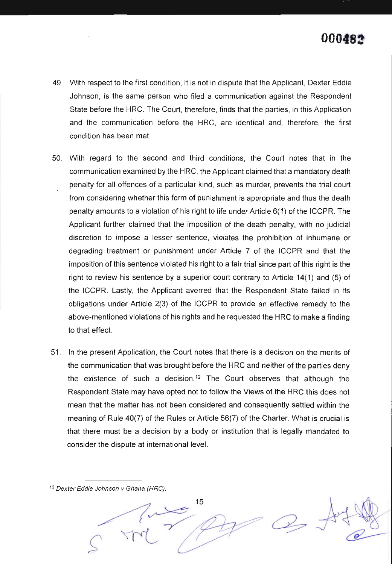

- 49. With respect to the first condition, it is not in dispute that the Applicant, Dexter Eddie Johnson, is the same person who filed a communication against the Respondent State before the HRC. The Court, therefore, finds that the parties, in this Application and the communication before the HRC, are identical and, therefore, the first condition has been met.
- 50. With regard to the second and third conditions, the Court notes that in the communication examined by the HRC, the Applicant claimed that a mandatory death penalty for all offences of a particular kind, such as murder, prevents the trial court from considering whether this form of punishment is appropriate and thus the death penalty amounts to a violation of his right to life under Article 6(1) of the ICCPR. The Applicant further claimed that the imposition of the death penalty, with no judicial discretion to impose a lesser sentence, violates the prohibition of inhumane or degrading treatment or punishment under Article 7 of the ICCPR and that the imposition of this sentence violated his right to a fair trial since part of this right is the right to review his sentence by a superior court contrary to Article 14(1) and (5) of the ICCPR. Lastly, the Applicant averred that the Respondent State failed in its obligations under Article 2(3) of the ICCPR to provide an effective remedy to the above-mentioned violations of his rights and he requested the HRC to make a finding to that effect.
- 51 . ln the present Application, the Court notes that there is a decision on the merits of the communication that was brought before the HRC and neither of the parties deny the existence of such a decision.<sup>12</sup> The Court observes that although the Respondent State may have opted not to follow the Views of the HRC this does not mean that the matter has not been considered and consequently seftled within the meaning of Rule 40(7) of the Rules or Article 56(7) of the Charter. What is crucial is that there must be a decision by a body or institution that is legally mandated to consider the dispute at international level.

 $12$  Dexter Eddie Johnson v Ghana (HRC).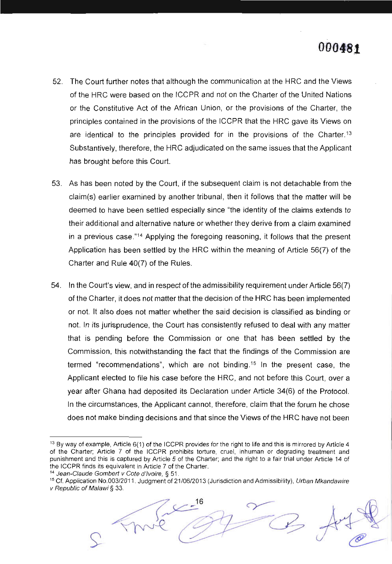- 52. The Court further notes that although the communication at the HRC and the Views of the HRC were based on the ICCPR and not on the Charter of the United Nations or the Constitutive Act of the African Union, or the provisions of the Charter, the principles contained in the provisions of the ICCPR that the HRC gave its Views on are identical to the principles provided for in the provisions of the Charter.<sup>13</sup> Substantively, therefore, the HRC adjudicated on the same issues that the Applicant has brought before this Court.
- 53. As has been noted by the Court, if the subsequent claim is not detachable from the claim(s) earlier examined by another tribunal, then it follows that the matter will be deemed to have been settled especially since "the identity of the claims extends to their additional and alternative nature or whether they derive from a claim examined in a previous case."14 Applying the foregoing reasoning, it follows that the present Application has been settled by the HRC within the meaning of Article 56(7) of the Charter and Rule 40(7) of the Rules.
- 54. ln the Court's view, and in respect of the admissibility requirement underArticle 56(7) of the Charter, it does not matter that the decision of the HRC has been implemented or not. lt also does not matter whether the said decision is classified as binding or not. ln its jurisprudence, the Court has consistently refused to deal with any matter that is pending before the Commission or one that has been settled by the Commission, this notwithstanding the fact that the findings of the Commission are termed "recommendations", which are not binding.<sup>15</sup> In the present case, the Applicant elected to file his case before the HRC, and not before this Court, over a year after Ghana had deposited its Declaration under Article 34(6) of the Protocol. ln the circumstances, the Applicant cannot, therefore, claim that the forum he chose does not make binding decisions and that since the Views of the HRC have not been

<sup>&</sup>lt;sup>14</sup> Jean-Claude Gombert v Cote d'Ivoire, § 51.<br><sup>15</sup> Cf. Application No.003/2011. Judgment of 21/06/2013 (Jurisdiction and Admissibility), Urban Mkandawire v Republic of Malawi § 33.



<sup>&</sup>lt;sup>13</sup> By way of example, Article 6(1) of the ICCPR provides for the right to life and this is mirrored by Article 4 of the Charter; Article 7 of the ICCPR prohibits torture, cruel, inhuman or degrading treatment and punishment and this is captured by Article 5 of the Charter; and the right to a fair trial under Article 14 of the ICCPR finds its equivalent in Article 7 of the Charter.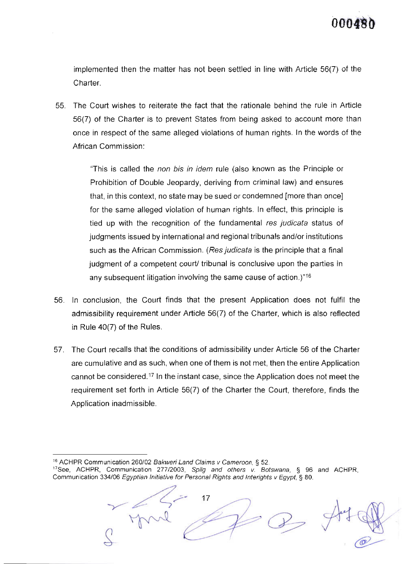implemented then the matter has not been settled in line with Article 56(7) of the Charter.

55. The Court wishes to reiterate the fact that the rationale behind the rule in Article 56(7) of the Charter is to prevent States from being asked to account more than once in respect of the same alleged violations of human rights. ln the words of the African Commission:

> "This is called the non bis in idem rule (also known as the Principle or Prohibition of Double Jeopardy, deriving from criminal law) and ensures that, in this context, no state may be sued or condemned [more than once] for the same alleged violation of human rights. ln effect, this principle is tied up with the recognition of the fundamental res judicata status of judgments issued by international and regionaltribunals and/or institutions such as the African Commission. (Res judicata is the principle that a final judgment of a competent court/ tribunal is conclusive upon the parties in any subsequent litigation involving the same cause of action.)"16

- 56. ln conclusion, the Court finds that the present Application does not fulfil the admissibility requirement under Article 56(7) of the Charter, which is also reflected in Rule 40(7) of the Rules.
- 57. The Court recalls that the conditions of admissibility under Article 56 of the Charter are cumulative and as such, when one of them is not met, then the entire Application cannot be considered.<sup>17</sup> In the instant case, since the Application does not meet the requirement set forth in Article 56(7) of the Charter the Court, therefore, finds the Application inadmissible.

<sup>&</sup>lt;sup>17</sup>See, ACHPR, Communication 277/2003, Spilg and others v. Botswana,  $\S$  96 and ACHPR, Communication 334/06 Egyptian Initiative for Personal Rights and Interights v Egypt, § 80.



 $\sigma$ 

<sup>&</sup>lt;sup>16</sup> ACHPR Communication 260/02 Bakweri Land Claims v Cameroon, § 52.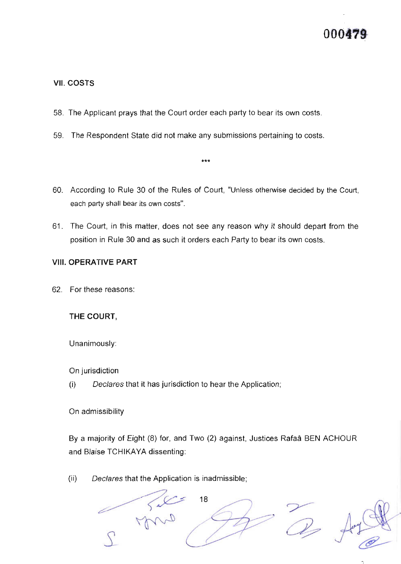#### vil. cosrs

- 58. The Applicant prays that the Court order each party to bear its own costs
- 59. The Respondent State did not make any submissions pertaining to costs
- 60. According to Rule 30 of the Rules of Court, "Unless othenvise decided by the Court, each party shall bear its own costs".

\*\*\*

61. The Court, in this matter, does not see any reason why it should depart from the position in Rule 30 and as such it orders each Party to bear its own costs.

#### VIII. OPERATIVE PART

62. For these reasons:

#### THE COURT,

Unanimously

On jurisdiction

(i) Declares that it has jurisdiction to hear the Application;

On admissibility

By a majority of Eight (8) for, and Two (2) against, Justices Rafaa BEN ACHOUR and Blaise TCHIKAYA dissenting:

(ii) Declares that the Application is inadmissible;

r ry '18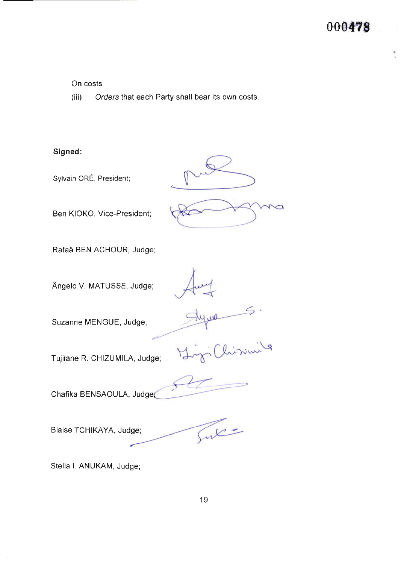On costs

(iii) Orders that each Party shall bear its own costs.

## Signed:

Sylvain ORE, President;

Ben KIOKO, Vice-President;

Rafad BEN ACHOUR, Judge;

Angelo V. MATUSSE, Judge;

Suzanne MENGUE, Judge;

Tujilane R. CHIZUMILA, Judge; (history )

Chafika BENSAOULA, Judgea

Blaise TCHIKAYA, Judge;

Sul

Stella l. ANUKAM, Judge;